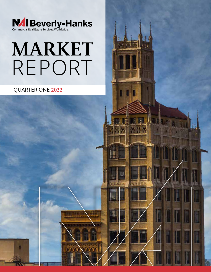

# MARKET REPORT

QUARTER ONE 2022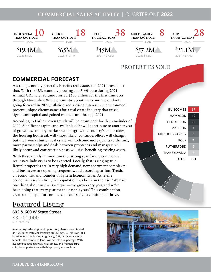### COMMERCIAL SALES ACTIVITY **|** QUARTER ONE **2022**



## **COMMERCIAL FORECAST**

A strong economy generally benefits real estate, and 2021 proved just that. With the U.S. economy growing at a 5.6% pace during 2021, Annual CRE sales volume crossed \$600 billion for the first time ever through November. While optimistic about the economic outlook going forward in 2022, inflation and a rising interest rate environment present unique circumstances for a real estate industry that raised significant capital and gained momentum through 2021.

According to Forbes, seven trends will be prominent for the remainder of 2022: Significant capital and available debt will contribute to another year of growth, secondary markets will outgrow the country's major cities, the housing hot streak will (most likely) continue, offices will change, but they won't shutter, real estate will welcome more quants to the mix, more partnerships and deals between proptechs and managers will likely occur, and construction costs will rise, benefiting existing assets.

With these trends in mind, another strong year for the commercial real estate industry is to be expected. Locally, that is ringing true. Rental properties are in very high demand, new apartment complexes and businesses are opening frequently, and according to Tom Tveidt, an economist and founder of Syneva Economics, an Asheville economic research firm, the population has been on the rise: "We have one thing about us that's unique — we grow every year, and we've been doing that every year for the past 40 years". This combination creates a hot spot for commercial real estate to continue to thrive.



## Featured Listing

**602 & 600 W State Street**

\$3,700,000 MLS: 3820185

An amazing redevelopment opportunity! Two hotels situated on 4.22 acres with 580' frontage on US Hwy 70. This is an ideal location for large box retail, grocery, QSR, or national credit tenants. The combined lands will be sold as a package. With available utilities, highway level access, and multiple curb cuts, the opportunities with this property are endless.

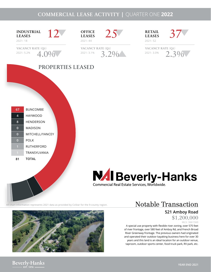## COMMERCIAL LEASE ACTIVITY **|** QUARTER ONE **2022**



Notable Transaction

**521 Amboy Road** \$1,200,000

MLS: 3661560

A special use property with flexible river zoning, over 575 feet of river frontage, over 580 feet of Amboy Rd, and French Broad River Greenway frontage. The previous owners had originated and operated their outdoor kayaking business here for over 30 years and this land is an ideal location for an outdoor venue, taproom, outdoor sports center, food truck park, RV park, etc.

All chart information represents 2021 data as provided by CoStar for the 9-county region.



**Beverly-Hanks**